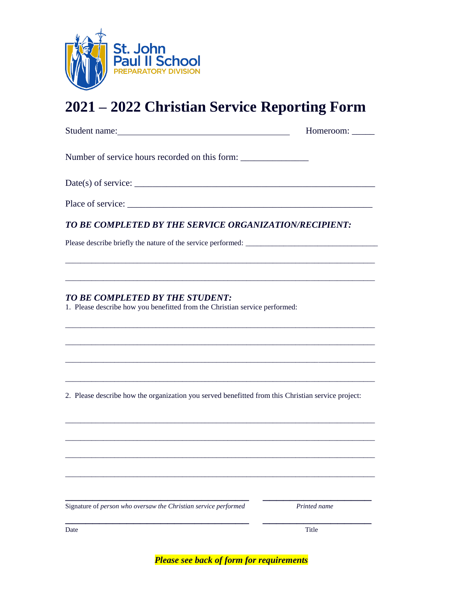

# **2021 – 2022 Christian Service Reporting Form**

|                                                                                                                                                                                                                                                                                                                                                                                                                                                         | Homeroom: _____ |
|---------------------------------------------------------------------------------------------------------------------------------------------------------------------------------------------------------------------------------------------------------------------------------------------------------------------------------------------------------------------------------------------------------------------------------------------------------|-----------------|
| Number of service hours recorded on this form:                                                                                                                                                                                                                                                                                                                                                                                                          |                 |
| Date(s) of service: $\frac{1}{\sqrt{1-\frac{1}{2}}}\left\{1-\frac{1}{2}\left(\frac{1}{2}-\frac{1}{2}\right)\left(\frac{1}{2}-\frac{1}{2}\right)\left(\frac{1}{2}-\frac{1}{2}\right)\left(\frac{1}{2}-\frac{1}{2}\right)\left(\frac{1}{2}-\frac{1}{2}\right)\left(\frac{1}{2}-\frac{1}{2}\right)\left(\frac{1}{2}-\frac{1}{2}\right)\left(\frac{1}{2}-\frac{1}{2}\right)\left(\frac{1}{2}-\frac{1}{2}\right)\left(\frac{1}{2}-\frac{1}{2}\right)\left(\$ |                 |
|                                                                                                                                                                                                                                                                                                                                                                                                                                                         |                 |
| TO BE COMPLETED BY THE SERVICE ORGANIZATION/RECIPIENT:                                                                                                                                                                                                                                                                                                                                                                                                  |                 |
|                                                                                                                                                                                                                                                                                                                                                                                                                                                         |                 |
| <b>TO BE COMPLETED BY THE STUDENT:</b><br>1. Please describe how you benefitted from the Christian service performed:                                                                                                                                                                                                                                                                                                                                   |                 |
| 2. Please describe how the organization you served benefitted from this Christian service project:                                                                                                                                                                                                                                                                                                                                                      |                 |
|                                                                                                                                                                                                                                                                                                                                                                                                                                                         |                 |
|                                                                                                                                                                                                                                                                                                                                                                                                                                                         |                 |
| Signature of person who oversaw the Christian service performed                                                                                                                                                                                                                                                                                                                                                                                         | Printed name    |

Date Title

*Please see back of form for requirements*